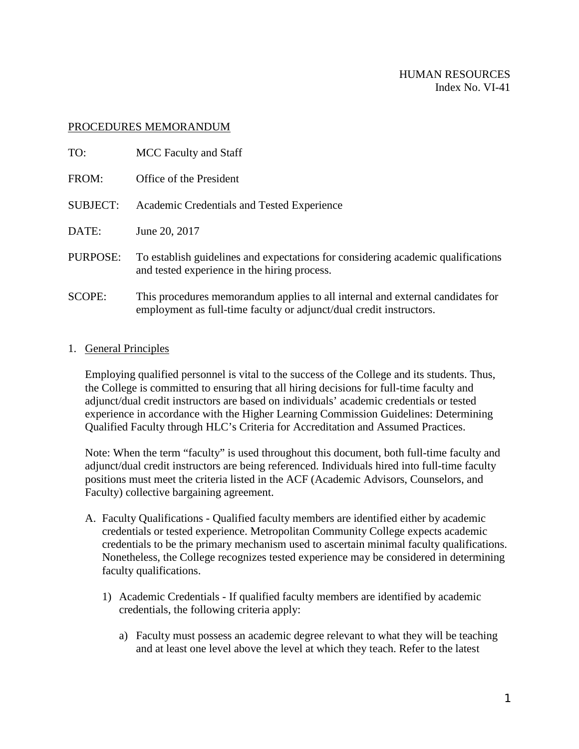## PROCEDURES MEMORANDUM

| TO:             | MCC Faculty and Staff                                                                                                                                 |
|-----------------|-------------------------------------------------------------------------------------------------------------------------------------------------------|
| FROM:           | Office of the President                                                                                                                               |
| <b>SUBJECT:</b> | Academic Credentials and Tested Experience                                                                                                            |
| DATE:           | June 20, 2017                                                                                                                                         |
| PURPOSE:        | To establish guidelines and expectations for considering academic qualifications<br>and tested experience in the hiring process.                      |
| <b>SCOPE:</b>   | This procedures memorandum applies to all internal and external candidates for<br>employment as full-time faculty or adjunct/dual credit instructors. |

## 1. General Principles

Employing qualified personnel is vital to the success of the College and its students. Thus, the College is committed to ensuring that all hiring decisions for full-time faculty and adjunct/dual credit instructors are based on individuals' academic credentials or tested experience in accordance with the Higher Learning Commission Guidelines: Determining Qualified Faculty through HLC's Criteria for Accreditation and Assumed Practices.

Note: When the term "faculty" is used throughout this document, both full-time faculty and adjunct/dual credit instructors are being referenced. Individuals hired into full-time faculty positions must meet the criteria listed in the ACF (Academic Advisors, Counselors, and Faculty) collective bargaining agreement.

- A. Faculty Qualifications Qualified faculty members are identified either by academic credentials or tested experience. Metropolitan Community College expects academic credentials to be the primary mechanism used to ascertain minimal faculty qualifications. Nonetheless, the College recognizes tested experience may be considered in determining faculty qualifications.
	- 1) Academic Credentials If qualified faculty members are identified by academic credentials, the following criteria apply:
		- a) Faculty must possess an academic degree relevant to what they will be teaching and at least one level above the level at which they teach. Refer to the latest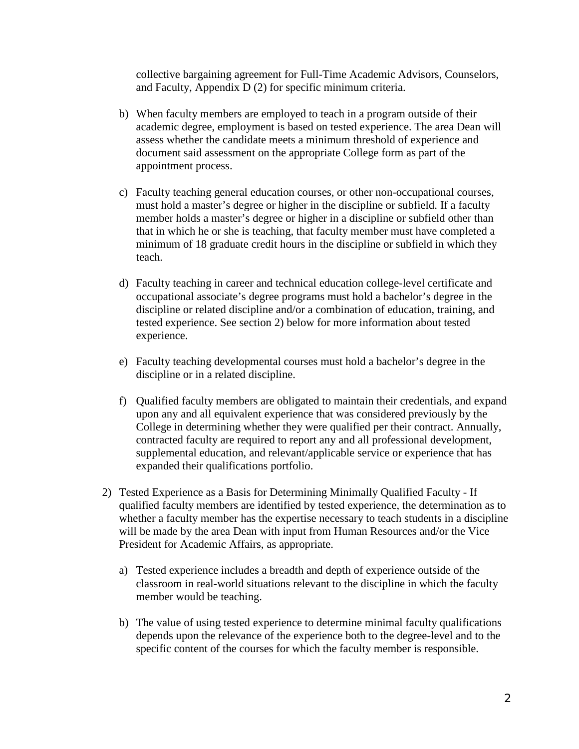collective bargaining agreement for Full-Time Academic Advisors, Counselors, and Faculty, Appendix D (2) for specific minimum criteria.

- b) When faculty members are employed to teach in a program outside of their academic degree, employment is based on tested experience. The area Dean will assess whether the candidate meets a minimum threshold of experience and document said assessment on the appropriate College form as part of the appointment process.
- c) Faculty teaching general education courses, or other non-occupational courses, must hold a master's degree or higher in the discipline or subfield. If a faculty member holds a master's degree or higher in a discipline or subfield other than that in which he or she is teaching, that faculty member must have completed a minimum of 18 graduate credit hours in the discipline or subfield in which they teach.
- d) Faculty teaching in career and technical education college-level certificate and occupational associate's degree programs must hold a bachelor's degree in the discipline or related discipline and/or a combination of education, training, and tested experience. See section 2) below for more information about tested experience.
- e) Faculty teaching developmental courses must hold a bachelor's degree in the discipline or in a related discipline.
- f) Qualified faculty members are obligated to maintain their credentials, and expand upon any and all equivalent experience that was considered previously by the College in determining whether they were qualified per their contract. Annually, contracted faculty are required to report any and all professional development, supplemental education, and relevant/applicable service or experience that has expanded their qualifications portfolio.
- 2) Tested Experience as a Basis for Determining Minimally Qualified Faculty If qualified faculty members are identified by tested experience, the determination as to whether a faculty member has the expertise necessary to teach students in a discipline will be made by the area Dean with input from Human Resources and/or the Vice President for Academic Affairs, as appropriate.
	- a) Tested experience includes a breadth and depth of experience outside of the classroom in real-world situations relevant to the discipline in which the faculty member would be teaching.
	- b) The value of using tested experience to determine minimal faculty qualifications depends upon the relevance of the experience both to the degree-level and to the specific content of the courses for which the faculty member is responsible.